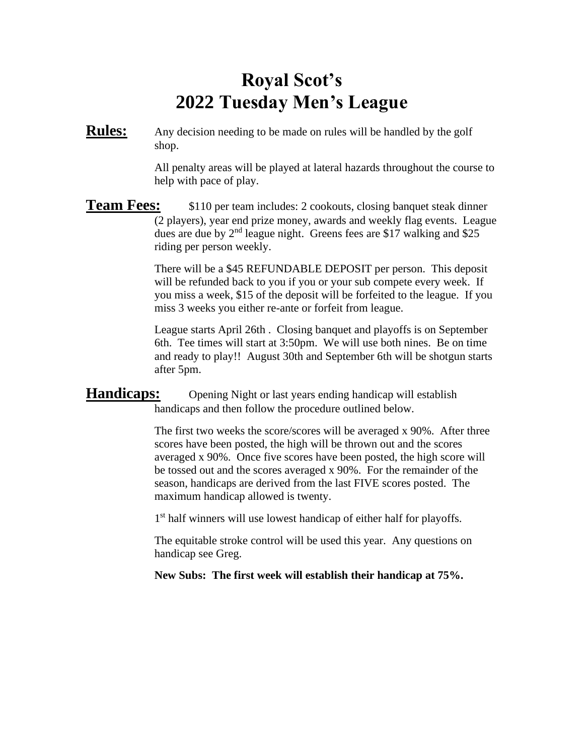## **Royal Scot's 2022 Tuesday Men's League**

**Rules:** Any decision needing to be made on rules will be handled by the golf shop.

> All penalty areas will be played at lateral hazards throughout the course to help with pace of play.

**Team Fees:** \$110 per team includes: 2 cookouts, closing banquet steak dinner (2 players), year end prize money, awards and weekly flag events. League dues are due by 2<sup>nd</sup> league night. Greens fees are \$17 walking and \$25 riding per person weekly.

> There will be a \$45 REFUNDABLE DEPOSIT per person. This deposit will be refunded back to you if you or your sub compete every week. If you miss a week, \$15 of the deposit will be forfeited to the league. If you miss 3 weeks you either re-ante or forfeit from league.

> League starts April 26th . Closing banquet and playoffs is on September 6th. Tee times will start at 3:50pm. We will use both nines. Be on time and ready to play!! August 30th and September 6th will be shotgun starts after 5pm.

## **Handicaps:** Opening Night or last years ending handicap will establish handicaps and then follow the procedure outlined below.

The first two weeks the score/scores will be averaged x 90%. After three scores have been posted, the high will be thrown out and the scores averaged x 90%. Once five scores have been posted, the high score will be tossed out and the scores averaged x 90%. For the remainder of the season, handicaps are derived from the last FIVE scores posted. The maximum handicap allowed is twenty.

1<sup>st</sup> half winners will use lowest handicap of either half for playoffs.

The equitable stroke control will be used this year. Any questions on handicap see Greg.

**New Subs: The first week will establish their handicap at 75%.**